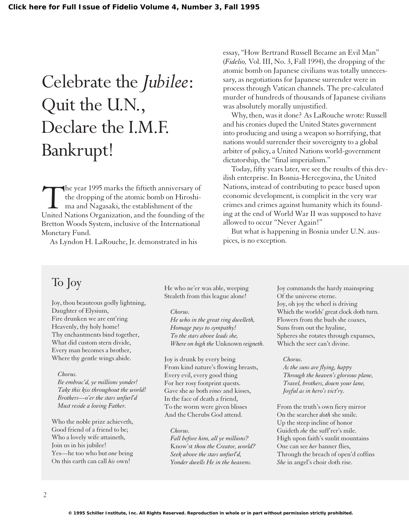# Celebrate the *Jubilee*: Quit the U.N., Declare the I.M.F. Bankrupt!

The year 1995 marks the fiftieth anniversary of<br>the dropping of the atomic bomb on Hiroshi-<br>ma and Nagasaki, the establishment of the<br>United Nations Organization, and the founding of th the dropping of the atomic bomb on Hiroshima and Nagasaki, the establishment of the United Nations Organization, and the founding of the Bretton Woods System, inclusive of the International Monetary Fund.

As Lyndon H. LaRouche, Jr. demonstrated in his

essay, "How Bertrand Russell Became an Evil Man" (*Fidelio,* Vol. III, No. 3, Fall 1994), the dropping of the atomic bomb on Japanese civilians was totally unnecessary, as negotiations for Japanese surrender were in process through Vatican channels. The pre-calculated murder of hundreds of thousands of Japanese civilians was absolutely morally unjustified.

Why, then, was it done? As LaRouche wrote: Russell and his cronies duped the United States government into producing and using a weapon so horrifying, that nations would surrender their sovereignty to a global arbiter of policy, a United Nations world-government dictatorship, the "final imperialism."

Today, fifty years later, we see the results of this devilish enterprise. In Bosnia-Hercegovina, the United Nations, instead of contributing to peace based upon economic development, is complicit in the very war crimes and crimes against humanity which its founding at the end of World War II was supposed to have allowed to occur "Never Again!"

But what is happening in Bosnia under U.N. auspices, is no exception.

## To Joy

Joy, thou beauteous godly lightning, Daughter of Elysium, Fire drunken we are ent'ring Heavenly, thy holy home! Thy enchantments bind together, What did custom stern divide, Every man becomes a brother, Where thy gentle wings abide.

### *Chorus.*

*Be embrac'd, ye millions yonder! Take this kiss throughout the world! Brothers—o'er the stars unfurl'd Must reside a loving Father.*

Who the noble prize achieveth, Good friend of a friend to be; Who a lovely wife attaineth, Join us in his jubilee! Yes—he too who but *one* being On this earth can call *his* own!

He who ne'er was able, weeping Stealeth from this league alone!

### *Chorus.*

*He who in the great ring dwelleth, Homage pays to sympathy! To the stars above leads she, Where on high the* Unknown *reigneth.*

Joy is drunk by every being From kind nature's flowing breasts, Every evil, every good thing For her rosy footprint quests. Gave she *us* both *vines* and kisses, In the face of death a friend, To the worm were given blisses And the Cherubs God attend.

### *Chorus.*

*Fall before him, all ye millions?* Know'st *thou the Creator, world? Seek above the stars unfurl'd, Yonder dwells He in the heavens.*

Joy commands the hardy mainspring Of the universe eterne. Joy, oh joy the wheel is driving Which the worlds' great clock doth turn. Flowers from the buds she coaxes, Suns from out the hyaline, Spheres she rotates through expanses, Which the seer can't divine.

### *Chorus.*

*As the suns are flying, happy Through the heaven's glorious plane, Travel, brothers, down your lane, Joyful as in hero's vict'ry.*

From the truth's own fiery mirror On the searcher *doth* she smile. Up the steep incline of honor Guideth *she* the suff rer's mile. High upon faith's sunlit mountains One can see *her* banner flies, Through the breach of open'd coffins *She* in angel's choir doth rise.